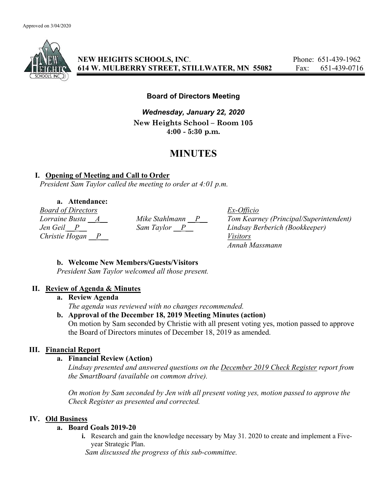

NEW HEIGHTS SCHOOLS, INC. Phone: 651-439-1962 614 W. MULBERRY STREET, STILLWATER, MN 55082 Fax: 651-439-0716

## Board of Directors Meeting

Wednesday, January 22, 2020 New Heights School – Room 105 4:00 - 5:30 p.m.

# MINUTES

## I. Opening of Meeting and Call to Order

President Sam Taylor called the meeting to order at 4:01 p.m.

# a. Attendance:

Board of Directors Ex-Officio Christie Hogan P Visitors

Lorraine Busta  $\underline{A}$  Mike Stahlmann  $\underline{P}$  Tom Kearney (Principal/Superintendent) Jen Geil \_\_P\_\_ Sam Taylor \_\_P\_\_ Lindsay Berberich (Bookkeeper) Annah Massmann

## b. Welcome New Members/Guests/Visitors

President Sam Taylor welcomed all those present.

## II. Review of Agenda & Minutes

#### a. Review Agenda

The agenda was reviewed with no changes recommended.

## b. Approval of the December 18, 2019 Meeting Minutes (action)

On motion by Sam seconded by Christie with all present voting yes, motion passed to approve the Board of Directors minutes of December 18, 2019 as amended.

## III. Financial Report

## a. Financial Review (Action)

Lindsay presented and answered questions on the December 2019 Check Register report from the SmartBoard (available on common drive).

On motion by Sam seconded by Jen with all present voting yes, motion passed to approve the Check Register as presented and corrected.

## IV. Old Business

## a. Board Goals 2019-20

i. Research and gain the knowledge necessary by May 31. 2020 to create and implement a Fiveyear Strategic Plan.

Sam discussed the progress of this sub-committee.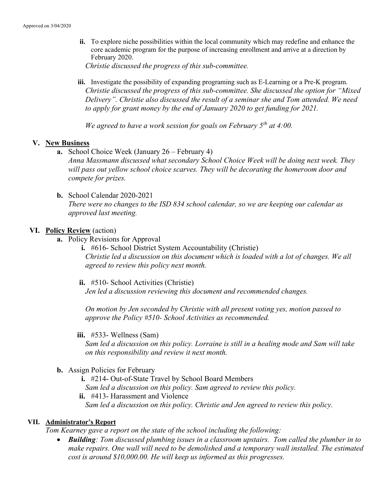ii. To explore niche possibilities within the local community which may redefine and enhance the core academic program for the purpose of increasing enrollment and arrive at a direction by February 2020.

Christie discussed the progress of this sub-committee.

iii. Investigate the possibility of expanding programing such as E-Learning or a Pre-K program. Christie discussed the progress of this sub-committee. She discussed the option for "Mixed Delivery". Christie also discussed the result of a seminar she and Tom attended. We need to apply for grant money by the end of January 2020 to get funding for 2021.

We agreed to have a work session for goals on February  $5<sup>th</sup>$  at 4:00.

#### V. New Business

a. School Choice Week (January 26 – February 4)

Anna Massmann discussed what secondary School Choice Week will be doing next week. They will pass out yellow school choice scarves. They will be decorating the homeroom door and compete for prizes.

b. School Calendar 2020-2021 There were no changes to the ISD 834 school calendar, so we are keeping our calendar as approved last meeting.

#### VI. Policy Review (action)

- a. Policy Revisions for Approval
	- i. #616- School District System Accountability (Christie) Christie led a discussion on this document which is loaded with a lot of changes. We all agreed to review this policy next month.
	- ii. #510- School Activities (Christie) Jen led a discussion reviewing this document and recommended changes.

On motion by Jen seconded by Christie with all present voting yes, motion passed to approve the Policy #510- School Activities as recommended.

iii.  $#533$ - Wellness (Sam)

Sam led a discussion on this policy. Lorraine is still in a healing mode and Sam will take on this responsibility and review it next month.

b. Assign Policies for February

i. #214- Out-of-State Travel by School Board Members Sam led a discussion on this policy. Sam agreed to review this policy. ii. #413- Harassment and Violence Sam led a discussion on this policy. Christie and Jen agreed to review this policy.

#### VII. Administrator's Report

Tom Kearney gave a report on the state of the school including the following:

• Building: Tom discussed plumbing issues in a classroom upstairs. Tom called the plumber in to make repairs. One wall will need to be demolished and a temporary wall installed. The estimated cost is around \$10,000.00. He will keep us informed as this progresses.